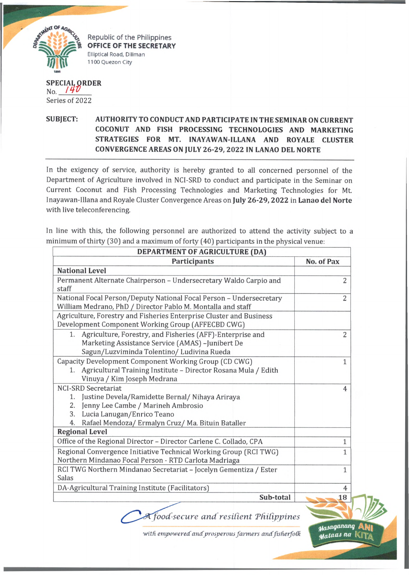

Republic of the Philippines **OFFICE OF THE SECRETARY** Elliptical Road, Diliman 1100 Quezon City

## **SPECIAL ORDER** No. *M V* Series of 2022

## **SUBJECT: AUTHORITY TO CONDUCT AND PARTICIPATE IN THE SEMINAR ON CURRENT COCONUT AND FISH PROCESSING TECHNOLOGIES AND MARKETING STRATEGIES FOR MT. INAYAWAN-ILLANA AND ROYALE CLUSTER CONVERGENCE AREAS ON JULY 26-29, 2022 IN LANAO DEL NORTE**

In the exigency of service, authority is hereby granted to all concerned personnel of the Department of Agriculture involved in NCI-SRD to conduct and participate in the Seminar on Current Coconut and Fish Processing Technologies and Marketing Technologies for Mt. Inayawan-Illana and Royale Cluster Convergence Areas on **July 26-29, 2022** in **Lanao del Norte** with live teleconferencing.

In line with this, the following personnel are authorized to attend the activity subject to a minimum of thirty (30] and a maximum of forty (40] participants in the physical venue:

| DEPARTMENT OF AGRICULTURE (DA)                                                                                                                                                                                                 |                              |
|--------------------------------------------------------------------------------------------------------------------------------------------------------------------------------------------------------------------------------|------------------------------|
| <b>Participants</b>                                                                                                                                                                                                            | No. of Pax                   |
| <b>National Level</b>                                                                                                                                                                                                          |                              |
| Permanent Alternate Chairperson - Undersecretary Waldo Carpio and<br>staff                                                                                                                                                     | $\overline{2}$               |
| National Focal Person/Deputy National Focal Person - Undersecretary<br>William Medrano, PhD / Director Pablo M. Montalla and staff                                                                                             | $\overline{2}$               |
| Agriculture, Forestry and Fisheries Enterprise Cluster and Business<br>Development Component Working Group (AFFECBD CWG)                                                                                                       |                              |
| 1. Agriculture, Forestry, and Fisheries (AFF)-Enterprise and<br>Marketing Assistance Service (AMAS) -Junibert De<br>Sagun/Luzviminda Tolentino/ Ludivina Rueda                                                                 | $\overline{2}$               |
| Capacity Development Component Working Group (CD CWG)<br>Agricultural Training Institute - Director Rosana Mula / Edith<br>1.<br>Vinuya / Kim Joseph Medrana                                                                   | 1                            |
| <b>NCI-SRD Secretariat</b><br>Justine Devela/Ramidette Bernal/ Nihaya Ariraya<br>1.<br>Jenny Lee Cambe / Marineh Ambrosio<br>2.<br>Lucia Lanugan/Enrico Teano<br>3.<br>Rafael Mendoza/ Ermalyn Cruz/ Ma. Bituin Bataller<br>4. | 4                            |
| <b>Regional Level</b>                                                                                                                                                                                                          |                              |
| Office of the Regional Director - Director Carlene C. Collado, CPA<br>Regional Convergence Initiative Technical Working Group (RCI TWG)<br>Northern Mindanao Focal Person - RTD Carlota Madriaga                               | $\mathbf{1}$<br>$\mathbf{1}$ |
| RCI TWG Northern Mindanao Secretariat - Jocelyn Gementiza / Ester<br>Salas                                                                                                                                                     | $\mathbf{1}$                 |
| DA-Agricultural Training Institute (Facilitators)                                                                                                                                                                              | 4                            |
|                                                                                                                                                                                                                                | Sub-total<br>18              |
|                                                                                                                                                                                                                                |                              |

*food-secure and resilient 'Philippines*

with empowered and prosperous farmers and fisherfolk

<mark>M</mark>asaganang<br>Mataas na